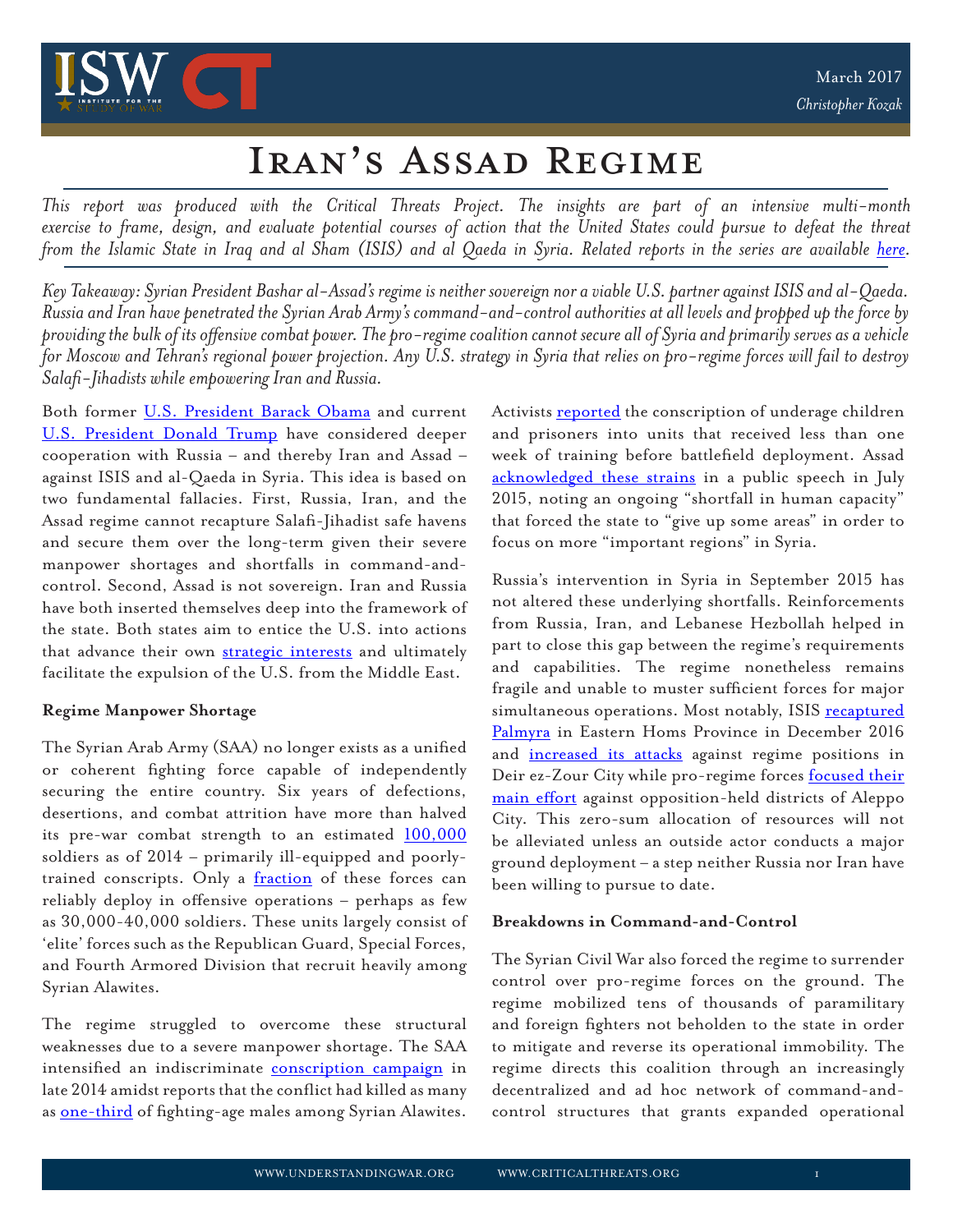

# Iran's Assad Regime

*This report was produced with the Critical Threats Project. The insights are part of an intensive multi-month exercise to frame, design, and evaluate potential courses of action that the United States could pursue to defeat the threat from the Islamic State in Iraq and al Sham (ISIS) and al Qaeda in Syria. Related reports in the series are available <u>here</u>.* 

*Key Takeaway: Syrian President Bashar al-Assad's regime is neither sovereign nor a viable U.S. partner against ISIS and al-Qaeda. Russia and Iran have penetrated the Syrian Arab Army's command-and-control authorities at all levels and propped up the force by providing the bulk of its offensive combat power. The pro-regime coalition cannot secure all of Syria and primarily serves as a vehicle for Moscow and Tehran's regional power projection. Any U.S. strategy in Syria that relies on pro-regime forces will fail to destroy Salafi-Jihadists while empowering Iran and Russia.*

Both former [U.S. President Barack Obama](https://www.washingtonpost.com/opinions/global-opinions/obama-proposes-new-military-partnership-with-russia-in-syria/2016/06/29/8e8b2e2a-3e3f-11e6-80bc-d06711fd2125_story.html?utm_term=.e71f8806e679) and current [U.S. President Donald Trump](http://www.reuters.com/article/us-usa-trump-putin-idUSKBN15C0SK) have considered deeper cooperation with Russia – and thereby Iran and Assad – against ISIS and al-Qaeda in Syria. This idea is based on two fundamental fallacies. First, Russia, Iran, and the Assad regime cannot recapture Salafi-Jihadist safe havens and secure them over the long-term given their severe manpower shortages and shortfalls in command-andcontrol. Second, Assad is not sovereign. Iran and Russia have both inserted themselves deep into the framework of the state. Both states aim to entice the U.S. into actions that advance their own [strategic interests](http://iswresearch.blogspot.com/2017/02/the-strategic-convergence-of-russia-and.html) and ultimately facilitate the expulsion of the U.S. from the Middle East.

## **Regime Manpower Shortage**

The Syrian Arab Army (SAA) no longer exists as a unified or coherent fighting force capable of independently securing the entire country. Six years of defections, desertions, and combat attrition have more than halved its pre-war combat strength to an estimated  $100,000$ soldiers as of 2014 – primarily ill-equipped and poorlytrained conscripts. Only a [fraction](http://www.understandingwar.org/sites/default/files/TheAssadRegime-web.pdf) of these forces can reliably deploy in offensive operations – perhaps as few as 30,000-40,000 soldiers. These units largely consist of 'elite' forces such as the Republican Guard, Special Forces, and Fourth Armored Division that recruit heavily among Syrian Alawites.

The regime struggled to overcome these structural weaknesses due to a severe manpower shortage. The SAA intensified an indiscriminate [conscription campaign](http://iswresearch.blogspot.com/2014/12/the-assad-regime-under-stress.html) in late 2014 amidst reports that the conflict had killed as many as [one-third](http://www.telegraph.co.uk/news/worldnews/middleeast/syria/11518232/In-Syrias-war-Alawites-pay-heavy-price-for-loyalty-to-Bashar-al-Assad.html) of fighting-age males among Syrian Alawites.

and prisoners into units that received less than one week of training before battlefield deployment. Assad [acknowledged these strains](https://www.nytimes.com/2015/07/27/world/middleeast/assad-in-rare-admission-says-syrias-army-lacks-manpower.html) in a public speech in July 2015, noting an ongoing "shortfall in human capacity" that forced the state to "give up some areas" in order to focus on more "important regions" in Syria.

Barnek Obern and current Activists [reported](https://www.newsdeeply.com/syria/articles/2014/11/10/underage-teens-face-conscription-in-assads-syrian-army) the conscription of underage children<br>Time have considered degree and prisonners into units that received less than one<br>of the constrained and the web of training before buttlef Russia's intervention in Syria in September 2015 has not altered these underlying shortfalls. Reinforcements from Russia, Iran, and Lebanese Hezbollah helped in part to close this gap between the regime's requirements and capabilities. The regime nonetheless remains fragile and unable to muster sufficient forces for major simultaneous operations. Most notably, ISIS [recaptured](http://www.cbsnews.com/news/isis-recaptures-palmyra-syria-despite-russian-bombs-activists-say/) [Palmyra](http://www.cbsnews.com/news/isis-recaptures-palmyra-syria-despite-russian-bombs-activists-say/) in Eastern Homs Province in December 2016 and [increased its attacks](https://www.nytimes.com/2016/01/19/world/middleeast/isis-islamic-state-eastern-syria.html) against regime positions in Deir ez-Zour City while pro-regime forces **[focused their](http://www.cnn.com/2016/12/22/middleeast/syrian-regime-takes-full-control-of-aleppo/)** [main effort](http://www.cnn.com/2016/12/22/middleeast/syrian-regime-takes-full-control-of-aleppo/) against opposition-held districts of Aleppo City. This zero-sum allocation of resources will not be alleviated unless an outside actor conducts a major ground deployment – a step neither Russia nor Iran have been willing to pursue to date.

## **Breakdowns in Command-and-Control**

The Syrian Civil War also forced the regime to surrender control over pro-regime forces on the ground. The regime mobilized tens of thousands of paramilitary and foreign fighters not beholden to the state in order to mitigate and reverse its operational immobility. The regime directs this coalition through an increasingly decentralized and ad hoc network of command-andcontrol structures that grants expanded operational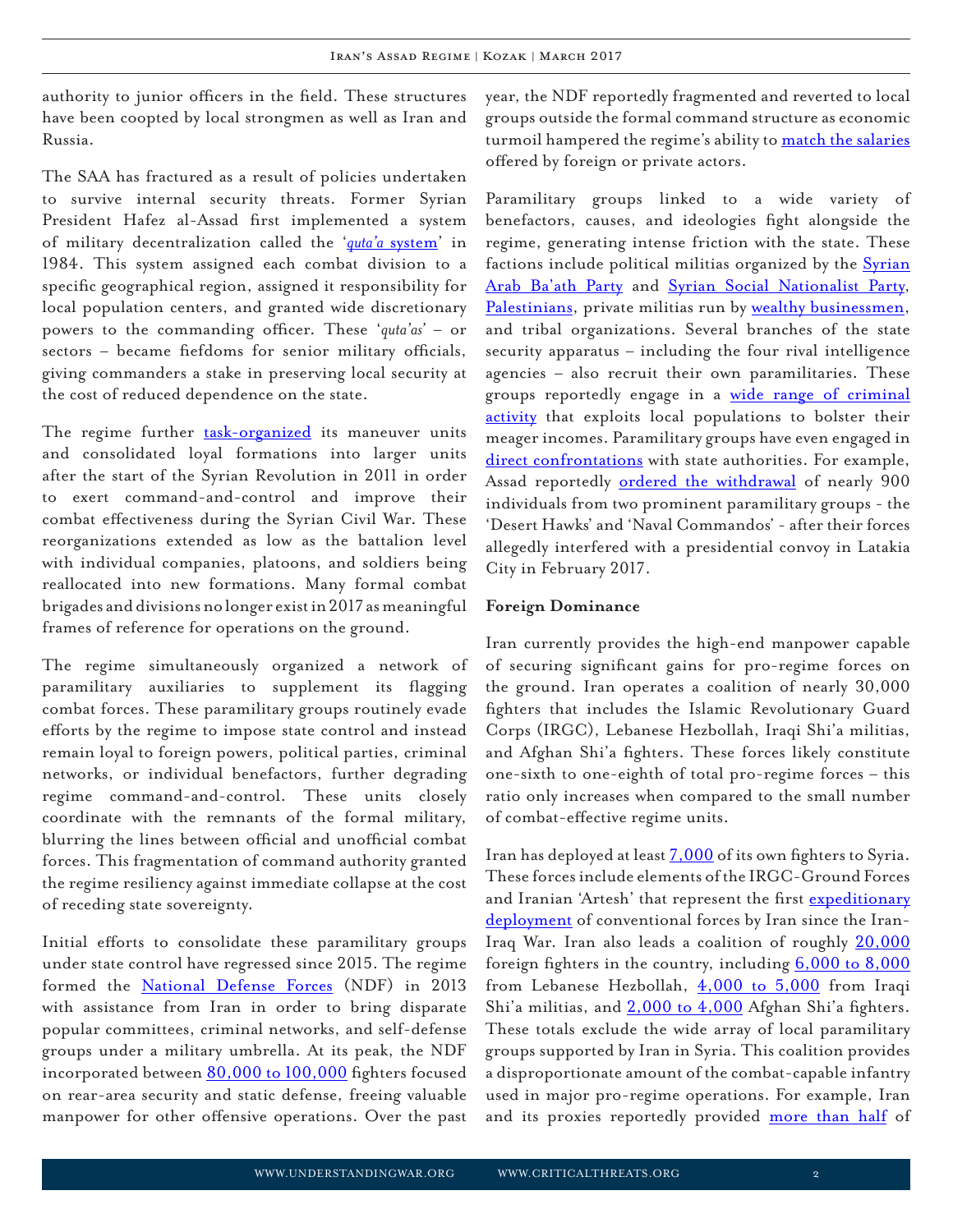authority to junior officers in the field. These structures have been coopted by local strongmen as well as Iran and Russia.

The SAA has fractured as a result of policies undertaken to survive internal security threats. Former Syrian President Hafez al-Assad first implemented a system of military decentralization called the '*quta'a* [system](http://carnegie-mec.org/2016/03/14/strength-in-weakness-syrian-army-s-accidental-resilience-pub-62968)' in 1984. This system assigned each combat division to a specific geographical region, assigned it responsibility for local population centers, and granted wide discretionary powers to the commanding officer. These '*quta'as'* – or sectors – became fiefdoms for senior military officials, giving commanders a stake in preserving local security at the cost of reduced dependence on the state.

The regime further [task-organized](http://www.understandingwar.org/sites/default/files/TheAssadRegime-web.pdf) its maneuver units and consolidated loyal formations into larger units after the start of the Syrian Revolution in 2011 in order to exert command-and-control and improve their combat effectiveness during the Syrian Civil War. These reorganizations extended as low as the battalion level with individual companies, platoons, and soldiers being reallocated into new formations. Many formal combat brigades and divisions no longer exist in 2017 as meaningful frames of reference for operations on the ground.

The regime simultaneously organized a network of paramilitary auxiliaries to supplement its flagging combat forces. These paramilitary groups routinely evade efforts by the regime to impose state control and instead remain loyal to foreign powers, political parties, criminal networks, or individual benefactors, further degrading regime command-and-control. These units closely coordinate with the remnants of the formal military, blurring the lines between official and unofficial combat forces. This fragmentation of command authority granted the regime resiliency against immediate collapse at the cost of receding state sovereignty.

Initial efforts to consolidate these paramilitary groups under state control have regressed since 2015. The regime formed the [National Defense Forces](http://understandingwar.org/sites/default/files/An Army in All Corners by Chris Kozak 1.pdf) (NDF) in 2013 with assistance from Iran in order to bring disparate popular committees, criminal networks, and self-defense groups under a military umbrella. At its peak, the NDF incorporated between [80,000 to 100,000](https://www.wsj.com/articles/SB10001424127887323997004578639903412487708) fighters focused on rear-area security and static defense, freeing valuable manpower for other offensive operations. Over the past

year, the NDF reportedly fragmented and reverted to local groups outside the formal command structure as economic turmoil hampered the regime's ability to [match the salaries](https://tcf.org/content/commentary/fistful-dollars-dwindling-value-syrian-state-salaries/) offered by foreign or private actors.

Paramilitary groups linked to a wide variety of benefactors, causes, and ideologies fight alongside the regime, generating intense friction with the state. These factions include political militias organized by the **[Syrian](http://carnegie-mec.org/diwan/54167?lang=en)** [Arab Ba'ath Party](http://carnegie-mec.org/diwan/54167?lang=en) and [Syrian Social Nationalist Party](http://foreignpolicy.com/2016/03/28/the-eagles-of-the-whirlwind/), [Palestinians](http://www.rubincenter.org/2013/08/the-popular-front-for-the-liberation-of-palestine-general-command-pflp-gc-and-the-syrian-civil-war/), private militias run by [wealthy businessmen](http://carnegie-mec.org/2016/03/14/strength-in-weakness-syrian-army-s-accidental-resilience-pub-62968), and tribal organizations. Several branches of the state security apparatus – including the four rival intelligence agencies – also recruit their own paramilitaries. These groups reportedly engage in a [wide range of criminal](http://understandingwar.org/sites/default/files/An Army in All Corners by Chris Kozak 1.pdf) [activity](http://understandingwar.org/sites/default/files/An Army in All Corners by Chris Kozak 1.pdf) that exploits local populations to bolster their meager incomes. Paramilitary groups have even engaged in [direct confrontations](https://warontherocks.com/2016/08/the-decay-of-the-syrian-regime-is-much-worse-than-you-think/) with state authorities. For example, Assad reportedly [ordered the withdrawal](http://www.syriahr.com/en/?p=61306) of nearly 900 individuals from two prominent paramilitary groups - the 'Desert Hawks' and 'Naval Commandos' - after their forces allegedly interfered with a presidential convoy in Latakia City in February 2017.

### **Foreign Dominance**

Iran currently provides the high-end manpower capable of securing significant gains for pro-regime forces on the ground. Iran operates a coalition of nearly 30,000 fighters that includes the Islamic Revolutionary Guard Corps (IRGC), Lebanese Hezbollah, Iraqi Shi'a militias, and Afghan Shi'a fighters. These forces likely constitute one-sixth to one-eighth of total pro-regime forces – this ratio only increases when compared to the small number of combat-effective regime units.

Iran has deployed at least [7,000](http://www.wsj.com/articles/iran-expands-role-in-syria-in-conjunction-with-russias-airstrikes-1443811030) of its own fighters to Syria. These forces include elements of the IRGC-Ground Forces and Iranian 'Artesh' that represent the first [expeditionary](https://www.criticalthreats.org/analysis/the-artesh-in-syria-a-fundamental-shift-in-iranian-hard-power) [deployment](https://www.criticalthreats.org/analysis/the-artesh-in-syria-a-fundamental-shift-in-iranian-hard-power) of conventional forces by Iran since the Iran-Iraq War. Iran also leads a coalition of roughly [20,000](https://www.washingtonpost.com/world/middle_east/in-syrias-aleppo-shiite-militias-point-to-irans-unparalleled-influence/2016/11/20/2f1a47c2-92cd-11e6-bc00-1a9756d4111b_story.html?utm_term=.2204508f5f6c) foreign fighters in the country, including  $6,000$  to  $8,000$ from Lebanese Hezbollah,  $4,000$  to  $5,000$  from Iraqi Shi'a militias, and  $2,000$  to  $4,000$  Afghan Shi'a fighters. These totals exclude the wide array of local paramilitary groups supported by Iran in Syria. This coalition provides a disproportionate amount of the combat-capable infantry used in major pro-regime operations. For example, Iran and its proxies reportedly provided [more than half](http://www.wsj.com/articles/iraqi-militias-complicate-aleppo-battle-1475687051) of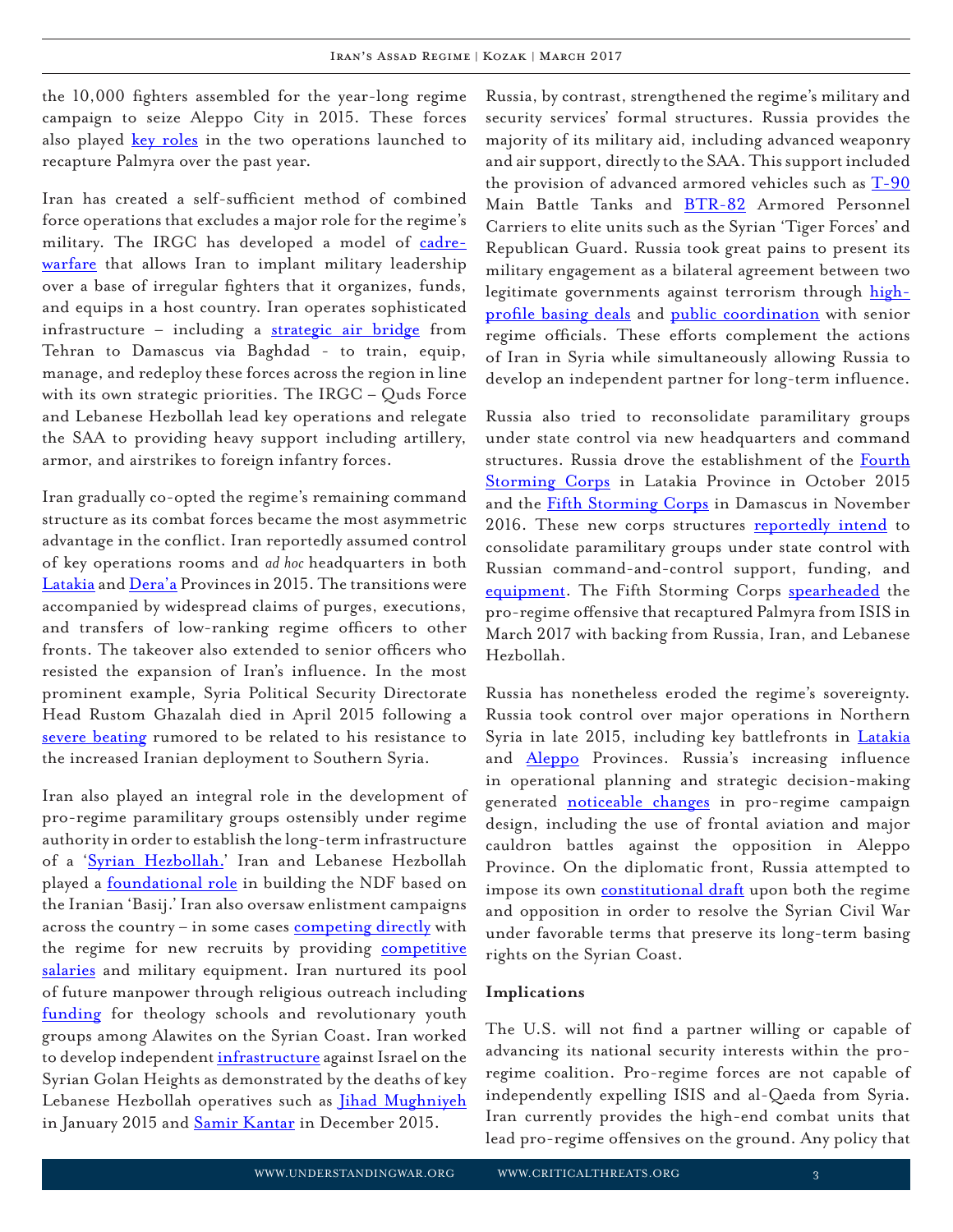the 10,000 fighters assembled for the year-long regime campaign to seize Aleppo City in 2015. These forces also played [key roles](http://iswresearch.blogspot.com/2016/03/russian-syrian-iranian-coalition-seizes.html) in the two operations launched to recapture Palmyra over the past year.

Iran has created a self-sufficient method of combined force operations that excludes a major role for the regime's military. The IRGC has developed a model of [cadre](http://www.irantracker.org/analysis/bucala-kagan-irans-evolving-way-of-war-how-irgc-fights-in-syria-march-24-2016)[warfare](http://www.irantracker.org/analysis/bucala-kagan-irans-evolving-way-of-war-how-irgc-fights-in-syria-march-24-2016) that allows Iran to implant military leadership over a base of irregular fighters that it organizes, funds, and equips in a host country. Iran operates sophisticated infrastructure – including a [strategic air bridge](http://www.irantracker.org/analysis/bucala-hawrey-irans-airbridge-to-syria-july-13-2016) from Tehran to Damascus via Baghdad - to train, equip, manage, and redeploy these forces across the region in line with its own strategic priorities. The IRGC – Quds Force and Lebanese Hezbollah lead key operations and relegate the SAA to providing heavy support including artillery, armor, and airstrikes to foreign infantry forces.

Iran gradually co-opted the regime's remaining command structure as its combat forces became the most asymmetric advantage in the conflict. Iran reportedly assumed control of key operations rooms and *ad hoc* headquarters in both [Latakia](https://now.mmedia.me/lb/en/NewsReports/565401-iran-commanders-reportedly-execute-syrian-officers) and [Dera'a](http://www.dailystar.com.lb/News/Middle-East/2015/Feb-16/287553-dozens-of-regime-troops-killed-in-deraa-offensive.ashx) Provinces in 2015. The transitions were accompanied by widespread claims of purges, executions, and transfers of low-ranking regime officers to other fronts. The takeover also extended to senior officers who resisted the expansion of Iran's influence. In the most prominent example, Syria Political Security Directorate Head Rustom Ghazalah died in April 2015 following a [severe beating](http://www.thearabweekly.com/Opinion/201/After-general%E2%80%99s-mysterious-death,-is-Assad%E2%80%99s-inner-circle-coming-apart?) rumored to be related to his resistance to the increased Iranian deployment to Southern Syria.

Iran also played an integral role in the development of pro-regime paramilitary groups ostensibly under regime authority in order to establish the long-term infrastructure of a '[Syrian Hezbollah.](http://www.washingtoninstitute.org/policy-analysis/view/how-iran-is-building-its-syrian-hezbollah)' Iran and Lebanese Hezbollah played a **[foundational role](http://understandingwar.org/sites/default/files/An Army in All Corners by Chris Kozak 1.pdf)** in building the NDF based on the Iranian 'Basij.' Iran also oversaw enlistment campaigns across the country – in some cases [competing directly](http://syriadirect.org/news/hama-media-office-irgc-presence-%E2%80%98noticable%E2%80%99/) with the regime for new recruits by providing [competitive](https://www.ft.com/content/e1243662-2c67-11e5-acfb-cbd2e1c81cca) [salaries](https://www.ft.com/content/e1243662-2c67-11e5-acfb-cbd2e1c81cca) and military equipment. Iran nurtured its pool of future manpower through religious outreach including [funding](http://syrianobserver.com/EN/News/28607/Shiite+Theology+Schools+Spread+Across+Tartous) for theology schools and revolutionary youth groups among Alawites on the Syrian Coast. Iran worked to develop independent [infrastructure](http://www.thenational.ae/opinion/comment/in-golan-a-battle-looms-between-iran-and-israel) against Israel on the Syrian Golan Heights as demonstrated by the deaths of key Lebanese Hezbollah operatives such as *[Jihad Mughniyeh](http://www.ynetnews.com/articles/0,7340,L-4616487,00.html)* in January 2015 and [Samir Kantar](http://www.wsj.com/articles/israels-longest-held-lebanese-prisoner-killed-in-airstrike-in-syria-1450597512) in December 2015.

Russia, by contrast, strengthened the regime's military and security services' formal structures. Russia provides the majority of its military aid, including advanced weaponry and air support, directly to the SAA. This support included the provision of advanced armored vehicles such as [T-90](https://southfront.org/syrian-forces-deploy-advanced-russian-made-t-90-battle-tanks-to-aleppo-battle-video/) Main Battle Tanks and [BTR-82](http://spioenkop.blogspot.com/2015/08/from-russia-with-love-syrias-btr-82as.html) Armored Personnel Carriers to elite units such as the Syrian 'Tiger Forces' and Republican Guard. Russia took great pains to present its military engagement as a bilateral agreement between two legitimate governments against terrorism through [high](https://www.nytimes.com/2017/01/20/world/middleeast/russia-turkey-syria-deal.html)[profile basing deals](https://www.nytimes.com/2017/01/20/world/middleeast/russia-turkey-syria-deal.html) and [public coordination](http://www.al-monitor.com/pulse/originals/2016/06/iran-syria-russia-defense-minister-tehran.html) with senior regime officials. These efforts complement the actions of Iran in Syria while simultaneously allowing Russia to develop an independent partner for long-term influence.

Russia also tried to reconsolidate paramilitary groups under state control via new headquarters and command structures. Russia drove the establishment of the [Fourth](http://www.reuters.com/article/us-mideast-crisis-syria-idUSKCN0S20J920151009) [Storming Corps](http://www.reuters.com/article/us-mideast-crisis-syria-idUSKCN0S20J920151009) in Latakia Province in October 2015 and the **[Fifth Storming Corps](https://southfront.org/syrian-military-forms-fifth-attack-troop-corps-trained-equipped-and-paid-by-syrian-allies/)** in Damascus in November 2016. These new corps structures [reportedly intend](http://www.atlanticcouncil.org/blogs/syriasource/analysis-the-fifth-corps-and-the-state-of-the-syrian-army) to consolidate paramilitary groups under state control with Russian command-and-control support, funding, and [equipment](http://spioenkop.blogspot.com/2017/02/replenishing-stocks-russian-deliveries.html). The Fifth Storming Corps [spearheaded](http://www.enabbaladi.net/archives/134356) the pro-regime offensive that recaptured Palmyra from ISIS in March 2017 with backing from Russia, Iran, and Lebanese Hezbollah.

Russia has nonetheless eroded the regime's sovereignty. Russia took control over major operations in Northern Syria in late 2015, including key battlefronts in *[Latakia](https://now.mmedia.me/lb/en/NewsReports/566479-russian-officers-overseeing-latakia-front)* and **[Aleppo](https://www.almasdarnews.com/article/russian-military-takes-command-of-east-aleppo-operations/)** Provinces. Russia's increasing influence in operational planning and strategic decision-making generated **[noticeable changes](https://www.criticalthreats.org/analysis/how-iran-is-learning-from-russia-in-syria)** in pro-regime campaign design, including the use of frontal aviation and major cauldron battles against the opposition in Aleppo Province. On the diplomatic front, Russia attempted to impose its own [constitutional draft](https://www.middleeastobserver.org/2017/01/26/syria-new-constitution-proposed-by-russia-opposition-refuses/) upon both the regime and opposition in order to resolve the Syrian Civil War under favorable terms that preserve its long-term basing rights on the Syrian Coast.

#### **Implications**

The U.S. will not find a partner willing or capable of advancing its national security interests within the proregime coalition. Pro-regime forces are not capable of independently expelling ISIS and al-Qaeda from Syria. Iran currently provides the high-end combat units that lead pro-regime offensives on the ground. Any policy that